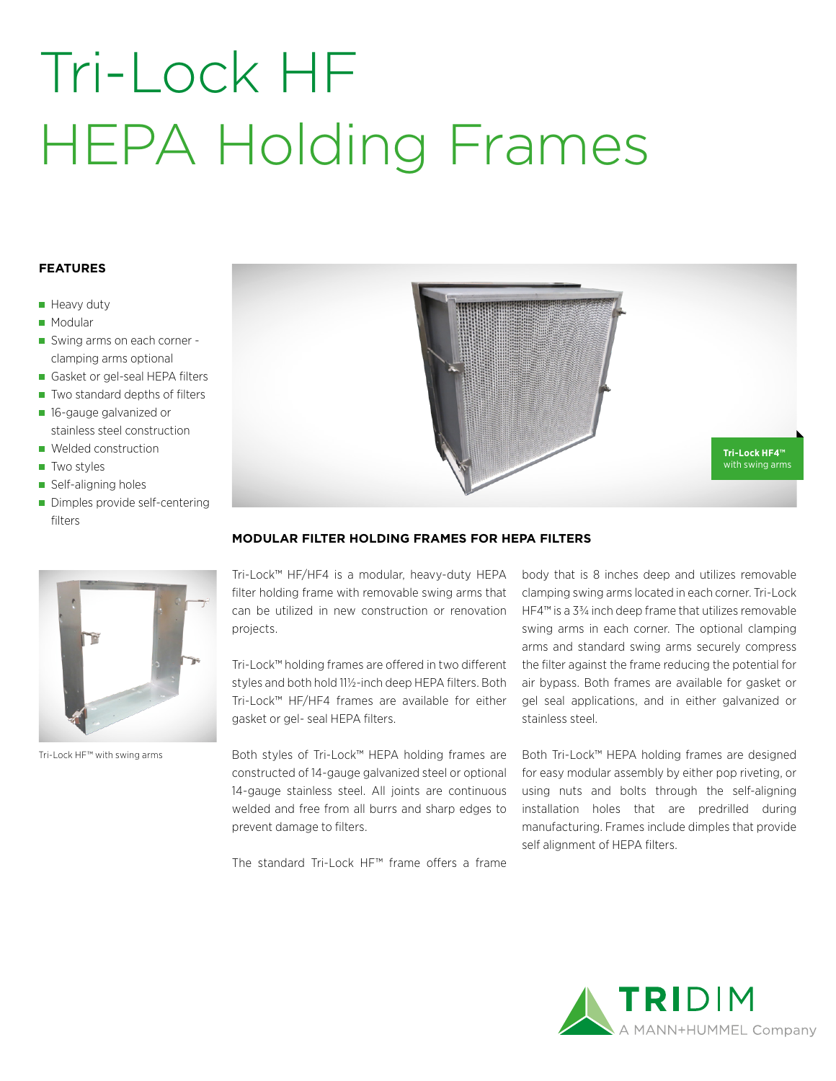## Tri-Lock HF HEPA Holding Frames

#### **FEATURES**

- **Heavy duty**
- Modular
- Swing arms on each corner clamping arms optional
- Gasket or gel-seal HEPA filters
- Two standard depths of filters
- 16-gauge galvanized or stainless steel construction
- Welded construction
- **Two styles**
- Self-aligning holes
- Dimples provide self-centering filters



Tri-Lock HF™ with swing arms



#### **MODULAR FILTER HOLDING FRAMES FOR HEPA FILTERS**

Tri-Lock™ HF/HF4 is a modular, heavy-duty HEPA filter holding frame with removable swing arms that can be utilized in new construction or renovation projects.

Tri-Lock™ holding frames are offered in two different styles and both hold 11½-inch deep HEPA filters. Both Tri-Lock™ HF/HF4 frames are available for either gasket or gel- seal HEPA filters.

Both styles of Tri-Lock™ HEPA holding frames are constructed of 14-gauge galvanized steel or optional 14-gauge stainless steel. All joints are continuous welded and free from all burrs and sharp edges to prevent damage to filters.

The standard Tri-Lock HF™ frame offers a frame

body that is 8 inches deep and utilizes removable clamping swing arms located in each corner. Tri-Lock HF4™ is a 3¾ inch deep frame that utilizes removable swing arms in each corner. The optional clamping arms and standard swing arms securely compress the filter against the frame reducing the potential for air bypass. Both frames are available for gasket or gel seal applications, and in either galvanized or stainless steel.

Both Tri-Lock™ HEPA holding frames are designed for easy modular assembly by either pop riveting, or using nuts and bolts through the self-aligning installation holes that are predrilled during manufacturing. Frames include dimples that provide self alignment of HEPA filters.